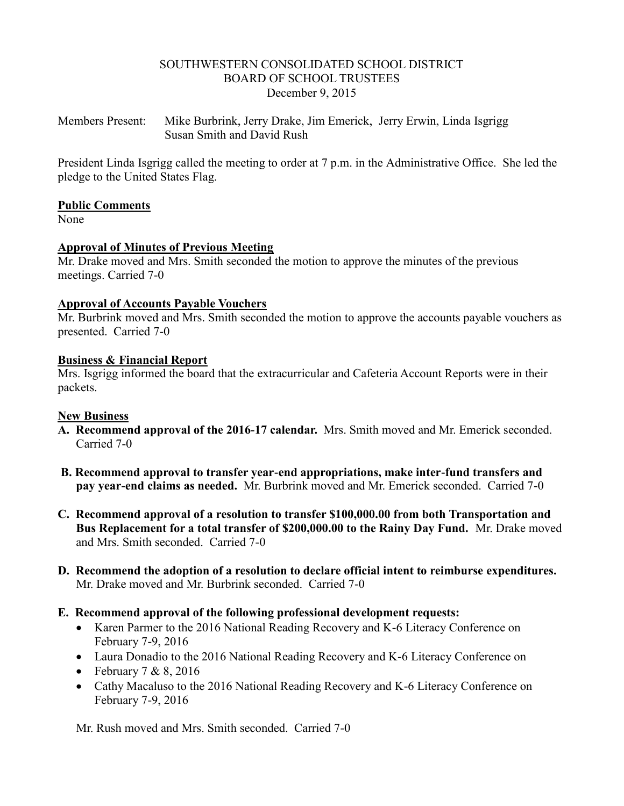#### SOUTHWESTERN CONSOLIDATED SCHOOL DISTRICT BOARD OF SCHOOL TRUSTEES December 9, 2015

Members Present: Mike Burbrink, Jerry Drake, Jim Emerick, Jerry Erwin, Linda Isgrigg Susan Smith and David Rush

President Linda Isgrigg called the meeting to order at 7 p.m. in the Administrative Office. She led the pledge to the United States Flag.

#### **Public Comments**

None

## **Approval of Minutes of Previous Meeting**

Mr. Drake moved and Mrs. Smith seconded the motion to approve the minutes of the previous meetings. Carried 7-0

## **Approval of Accounts Payable Vouchers**

Mr. Burbrink moved and Mrs. Smith seconded the motion to approve the accounts payable vouchers as presented. Carried 7-0

#### **Business & Financial Report**

Mrs. Isgrigg informed the board that the extracurricular and Cafeteria Account Reports were in their packets.

## **New Business**

- **A. Recommend approval of the 2016-17 calendar.** Mrs. Smith moved and Mr. Emerick seconded. Carried 7-0
- **B. Recommend approval to transfer year-end appropriations, make inter-fund transfers and pay year-end claims as needed.** Mr. Burbrink moved and Mr. Emerick seconded. Carried 7-0
- **C. Recommend approval of a resolution to transfer \$100,000.00 from both Transportation and Bus Replacement for a total transfer of \$200,000.00 to the Rainy Day Fund.** Mr. Drake moved and Mrs. Smith seconded. Carried 7-0
- **D. Recommend the adoption of a resolution to declare official intent to reimburse expenditures.** Mr. Drake moved and Mr. Burbrink seconded. Carried 7-0
- **E. Recommend approval of the following professional development requests:**
	- Karen Parmer to the 2016 National Reading Recovery and K-6 Literacy Conference on February 7-9, 2016
	- Laura Donadio to the 2016 National Reading Recovery and K-6 Literacy Conference on
	- February  $7 & 8, 2016$
	- Cathy Macaluso to the 2016 National Reading Recovery and K-6 Literacy Conference on February 7-9, 2016

Mr. Rush moved and Mrs. Smith seconded. Carried 7-0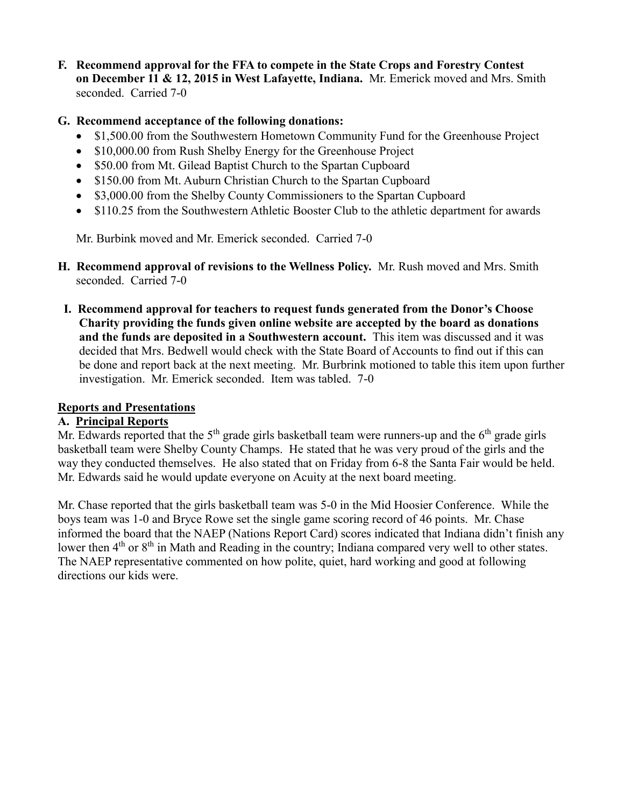**F. Recommend approval for the FFA to compete in the State Crops and Forestry Contest on December 11 & 12, 2015 in West Lafayette, Indiana.** Mr. Emerick moved and Mrs. Smith seconded. Carried 7-0

# **G. Recommend acceptance of the following donations:**

- \$1,500.00 from the Southwestern Hometown Community Fund for the Greenhouse Project
- \$10,000.00 from Rush Shelby Energy for the Greenhouse Project
- \$50.00 from Mt. Gilead Baptist Church to the Spartan Cupboard
- \$150.00 from Mt. Auburn Christian Church to the Spartan Cupboard
- \$3,000.00 from the Shelby County Commissioners to the Spartan Cupboard
- \$110.25 from the Southwestern Athletic Booster Club to the athletic department for awards

Mr. Burbink moved and Mr. Emerick seconded. Carried 7-0

- **H. Recommend approval of revisions to the Wellness Policy.** Mr. Rush moved and Mrs. Smith seconded. Carried 7-0
- **I. Recommend approval for teachers to request funds generated from the Donor's Choose Charity providing the funds given online website are accepted by the board as donations and the funds are deposited in a Southwestern account.** This item was discussed and it was decided that Mrs. Bedwell would check with the State Board of Accounts to find out if this can be done and report back at the next meeting. Mr. Burbrink motioned to table this item upon further investigation. Mr. Emerick seconded. Item was tabled. 7-0

## **Reports and Presentations**

## **A. Principal Reports**

Mr. Edwards reported that the  $5<sup>th</sup>$  grade girls basketball team were runners-up and the  $6<sup>th</sup>$  grade girls basketball team were Shelby County Champs. He stated that he was very proud of the girls and the way they conducted themselves. He also stated that on Friday from 6-8 the Santa Fair would be held. Mr. Edwards said he would update everyone on Acuity at the next board meeting.

Mr. Chase reported that the girls basketball team was 5-0 in the Mid Hoosier Conference. While the boys team was 1-0 and Bryce Rowe set the single game scoring record of 46 points. Mr. Chase informed the board that the NAEP (Nations Report Card) scores indicated that Indiana didn't finish any lower then 4<sup>th</sup> or 8<sup>th</sup> in Math and Reading in the country; Indiana compared very well to other states. The NAEP representative commented on how polite, quiet, hard working and good at following directions our kids were.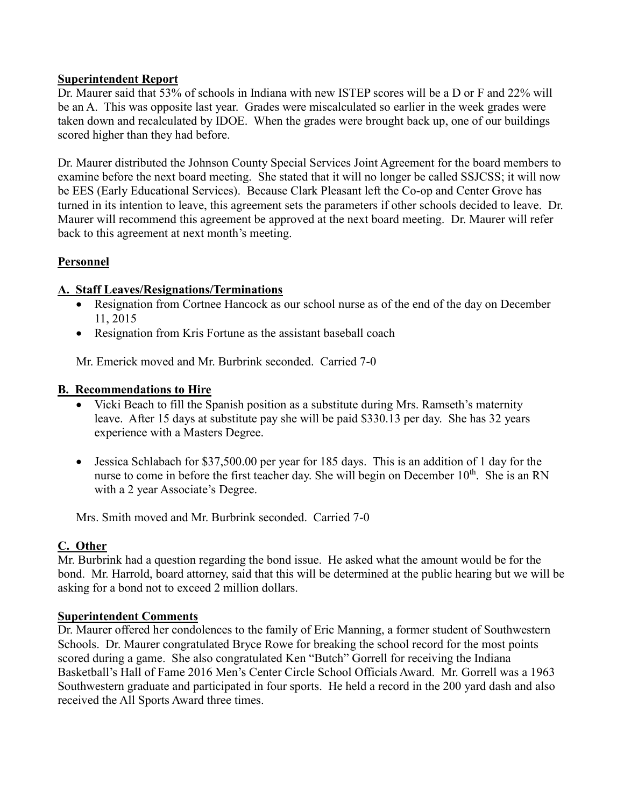## **Superintendent Report**

Dr. Maurer said that 53% of schools in Indiana with new ISTEP scores will be a D or F and 22% will be an A. This was opposite last year. Grades were miscalculated so earlier in the week grades were taken down and recalculated by IDOE. When the grades were brought back up, one of our buildings scored higher than they had before.

Dr. Maurer distributed the Johnson County Special Services Joint Agreement for the board members to examine before the next board meeting. She stated that it will no longer be called SSJCSS; it will now be EES (Early Educational Services). Because Clark Pleasant left the Co-op and Center Grove has turned in its intention to leave, this agreement sets the parameters if other schools decided to leave. Dr. Maurer will recommend this agreement be approved at the next board meeting. Dr. Maurer will refer back to this agreement at next month's meeting.

# **Personnel**

# **A. Staff Leaves/Resignations/Terminations**

- Resignation from Cortnee Hancock as our school nurse as of the end of the day on December 11, 2015
- Resignation from Kris Fortune as the assistant baseball coach

Mr. Emerick moved and Mr. Burbrink seconded. Carried 7-0

## **B. Recommendations to Hire**

- Vicki Beach to fill the Spanish position as a substitute during Mrs. Ramseth's maternity leave. After 15 days at substitute pay she will be paid \$330.13 per day. She has 32 years experience with a Masters Degree.
- Jessica Schlabach for \$37,500.00 per year for 185 days. This is an addition of 1 day for the nurse to come in before the first teacher day. She will begin on December  $10^{th}$ . She is an RN with a 2 year Associate's Degree.

Mrs. Smith moved and Mr. Burbrink seconded. Carried 7-0

# **C. Other**

Mr. Burbrink had a question regarding the bond issue. He asked what the amount would be for the bond. Mr. Harrold, board attorney, said that this will be determined at the public hearing but we will be asking for a bond not to exceed 2 million dollars.

## **Superintendent Comments**

Dr. Maurer offered her condolences to the family of Eric Manning, a former student of Southwestern Schools. Dr. Maurer congratulated Bryce Rowe for breaking the school record for the most points scored during a game. She also congratulated Ken "Butch" Gorrell for receiving the Indiana Basketball's Hall of Fame 2016 Men's Center Circle School Officials Award. Mr. Gorrell was a 1963 Southwestern graduate and participated in four sports. He held a record in the 200 yard dash and also received the All Sports Award three times.